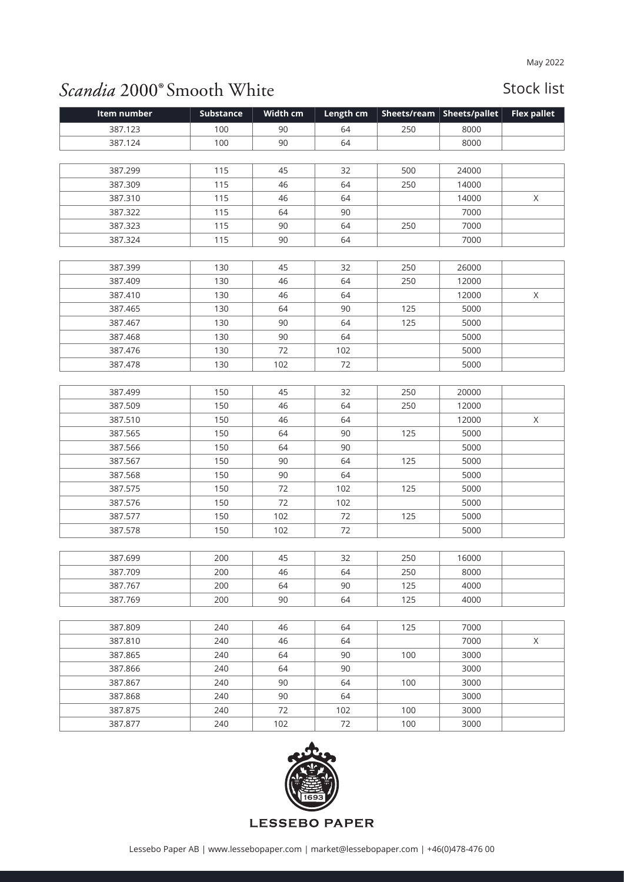## Scandia 2000° Smooth White

## Stock list

| Item number | Substance | Width cm | Length cm |     | Sheets/ream   Sheets/pallet | <b>Flex pallet</b> |
|-------------|-----------|----------|-----------|-----|-----------------------------|--------------------|
| 387.123     | 100       | 90       | 64        | 250 | 8000                        |                    |
| 387.124     | 100       | 90       | 64        |     | 8000                        |                    |
|             |           |          |           |     |                             |                    |
| 387.299     | 115       | 45       | 32        | 500 | 24000                       |                    |
| 387.309     | 115       | 46       | 64        | 250 | 14000                       |                    |
| 387.310     | 115       | 46       | 64        |     | 14000                       | X                  |
| 387.322     | 115       | 64       | 90        |     | 7000                        |                    |
| 387.323     | 115       | 90       | 64        | 250 | 7000                        |                    |
| 387.324     | 115       | 90       | 64        |     | 7000                        |                    |
|             |           |          |           |     |                             |                    |
| 387.399     | 130       | 45       | 32        | 250 | 26000                       |                    |
| 387.409     | 130       | 46       | 64        | 250 | 12000                       |                    |
| 387.410     | 130       | 46       | 64        |     | 12000                       | X                  |
| 387.465     | 130       | 64       | 90        | 125 | 5000                        |                    |
| 387.467     | 130       | 90       | 64        | 125 | 5000                        |                    |
| 387.468     | 130       | 90       | 64        |     | 5000                        |                    |
| 387.476     | 130       | 72       | 102       |     | 5000                        |                    |
| 387.478     | 130       | 102      | 72        |     | 5000                        |                    |
|             |           |          |           |     |                             |                    |
| 387.499     | 150       | 45       | 32        | 250 | 20000                       |                    |
| 387.509     | 150       | 46       | 64        | 250 | 12000                       |                    |
| 387.510     | 150       | 46       | 64        |     | 12000                       | X                  |
| 387.565     | 150       | 64       | 90        | 125 | 5000                        |                    |
| 387.566     | 150       | 64       | 90        |     | 5000                        |                    |
| 387.567     | 150       | 90       | 64        | 125 | 5000                        |                    |
| 387.568     | 150       | 90       | 64        |     | 5000                        |                    |
| 387.575     | 150       | 72       | 102       | 125 | 5000                        |                    |
| 387.576     | 150       | 72       | 102       |     | 5000                        |                    |
| 387.577     | 150       | 102      | 72        | 125 | 5000                        |                    |
| 387.578     | 150       | 102      | 72        |     | 5000                        |                    |
|             |           |          |           |     |                             |                    |
| 387.699     | 200       | 45       | 32        | 250 | 16000                       |                    |
| 387.709     | 200       | 46       | 64        | 250 | 8000                        |                    |
| 387.767     | 200       | 64       | 90        | 125 | 4000                        |                    |
| 387.769     | 200       | 90       | 64        | 125 | 4000                        |                    |
|             |           |          |           |     |                             |                    |
| 387.809     | 240       | 46       | 64        | 125 | 7000                        |                    |
| 387.810     | 240       | 46       | 64        |     | 7000                        | X                  |
| 387.865     | 240       | 64       | 90        | 100 | 3000                        |                    |
| 387.866     | 240       | 64       | 90        |     | 3000                        |                    |
| 387.867     | 240       | 90       | 64        | 100 | 3000                        |                    |
| 387.868     | 240       | 90       | 64        |     | 3000                        |                    |
| 387.875     | 240       | 72       | 102       | 100 | 3000                        |                    |
| 387.877     | 240       | 102      | 72        | 100 | 3000                        |                    |